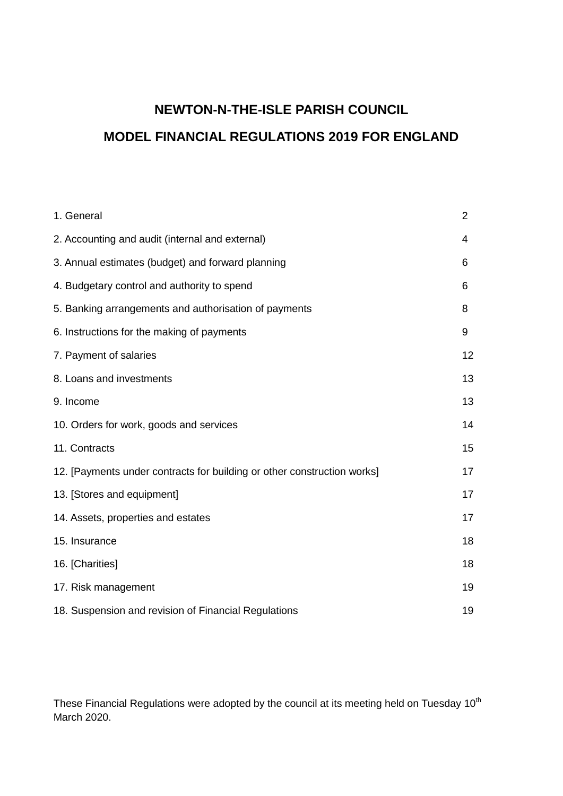# **NEWTON-N-THE-ISLE PARISH COUNCIL MODEL FINANCIAL REGULATIONS 2019 FOR ENGLAND**

| 1. General                                                              | $\overline{2}$ |
|-------------------------------------------------------------------------|----------------|
| 2. Accounting and audit (internal and external)                         | 4              |
| 3. Annual estimates (budget) and forward planning                       | 6              |
| 4. Budgetary control and authority to spend                             | 6              |
| 5. Banking arrangements and authorisation of payments                   | 8              |
| 6. Instructions for the making of payments                              | 9              |
| 7. Payment of salaries                                                  | 12             |
| 8. Loans and investments                                                | 13             |
| 9. Income                                                               | 13             |
| 10. Orders for work, goods and services                                 | 14             |
| 11. Contracts                                                           | 15             |
| 12. [Payments under contracts for building or other construction works] | 17             |
| 13. [Stores and equipment]                                              | 17             |
| 14. Assets, properties and estates                                      | 17             |
| 15. Insurance                                                           | 18             |
| 16. [Charities]                                                         | 18             |
| 17. Risk management                                                     | 19             |
| 18. Suspension and revision of Financial Regulations                    | 19             |

These Financial Regulations were adopted by the council at its meeting held on Tuesday 10<sup>th</sup> March 2020.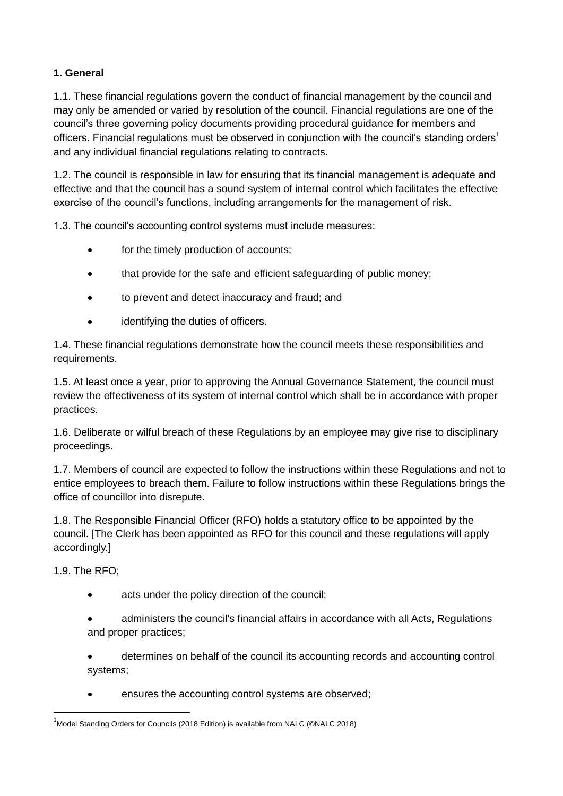# **1. General**

1.1. These financial regulations govern the conduct of financial management by the council and may only be amended or varied by resolution of the council. Financial regulations are one of the council's three governing policy documents providing procedural guidance for members and officers. Financial regulations must be observed in conjunction with the council's standing orders<sup>1</sup> and any individual financial regulations relating to contracts.

1.2. The council is responsible in law for ensuring that its financial management is adequate and effective and that the council has a sound system of internal control which facilitates the effective exercise of the council's functions, including arrangements for the management of risk.

1.3. The council's accounting control systems must include measures:

- for the timely production of accounts;
- that provide for the safe and efficient safeguarding of public money;
- to prevent and detect inaccuracy and fraud; and
- identifying the duties of officers.

1.4. These financial regulations demonstrate how the council meets these responsibilities and requirements.

1.5. At least once a year, prior to approving the Annual Governance Statement, the council must review the effectiveness of its system of internal control which shall be in accordance with proper practices.

1.6. Deliberate or wilful breach of these Regulations by an employee may give rise to disciplinary proceedings.

1.7. Members of council are expected to follow the instructions within these Regulations and not to entice employees to breach them. Failure to follow instructions within these Regulations brings the office of councillor into disrepute.

1.8. The Responsible Financial Officer (RFO) holds a statutory office to be appointed by the council. [The Clerk has been appointed as RFO for this council and these regulations will apply accordingly.]

1.9. The RFO;

**.** 

- acts under the policy direction of the council;
- administers the council's financial affairs in accordance with all Acts, Regulations and proper practices;
- determines on behalf of the council its accounting records and accounting control systems;
- ensures the accounting control systems are observed;

 $<sup>1</sup>$ Model Standing Orders for Councils (2018 Edition) is available from NALC (©NALC 2018)</sup>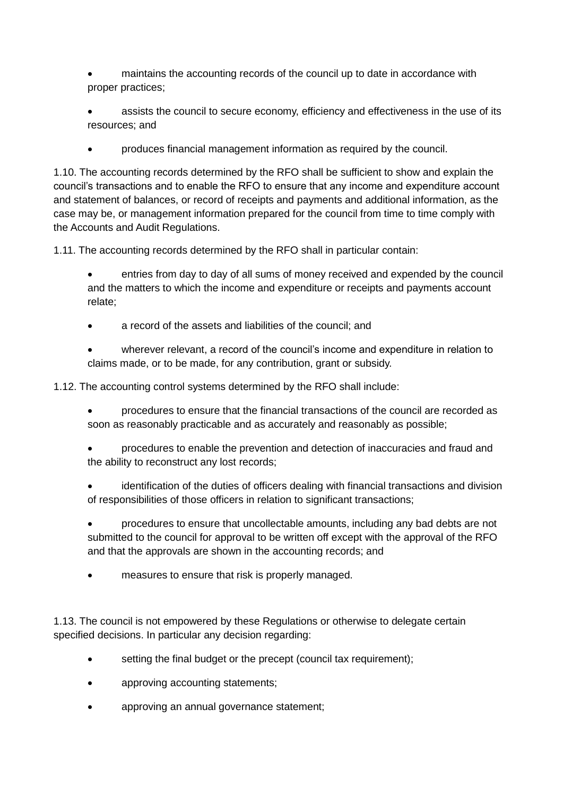- maintains the accounting records of the council up to date in accordance with proper practices;
- assists the council to secure economy, efficiency and effectiveness in the use of its resources; and
- produces financial management information as required by the council.

1.10. The accounting records determined by the RFO shall be sufficient to show and explain the council's transactions and to enable the RFO to ensure that any income and expenditure account and statement of balances, or record of receipts and payments and additional information, as the case may be, or management information prepared for the council from time to time comply with the Accounts and Audit Regulations.

1.11. The accounting records determined by the RFO shall in particular contain:

- entries from day to day of all sums of money received and expended by the council and the matters to which the income and expenditure or receipts and payments account relate;
- a record of the assets and liabilities of the council; and
- wherever relevant, a record of the council's income and expenditure in relation to claims made, or to be made, for any contribution, grant or subsidy.

1.12. The accounting control systems determined by the RFO shall include:

- procedures to ensure that the financial transactions of the council are recorded as soon as reasonably practicable and as accurately and reasonably as possible;
- procedures to enable the prevention and detection of inaccuracies and fraud and the ability to reconstruct any lost records;
- identification of the duties of officers dealing with financial transactions and division of responsibilities of those officers in relation to significant transactions;
- procedures to ensure that uncollectable amounts, including any bad debts are not submitted to the council for approval to be written off except with the approval of the RFO and that the approvals are shown in the accounting records; and
- measures to ensure that risk is properly managed.

1.13. The council is not empowered by these Regulations or otherwise to delegate certain specified decisions. In particular any decision regarding:

- setting the final budget or the precept (council tax requirement);
- approving accounting statements;
- approving an annual governance statement;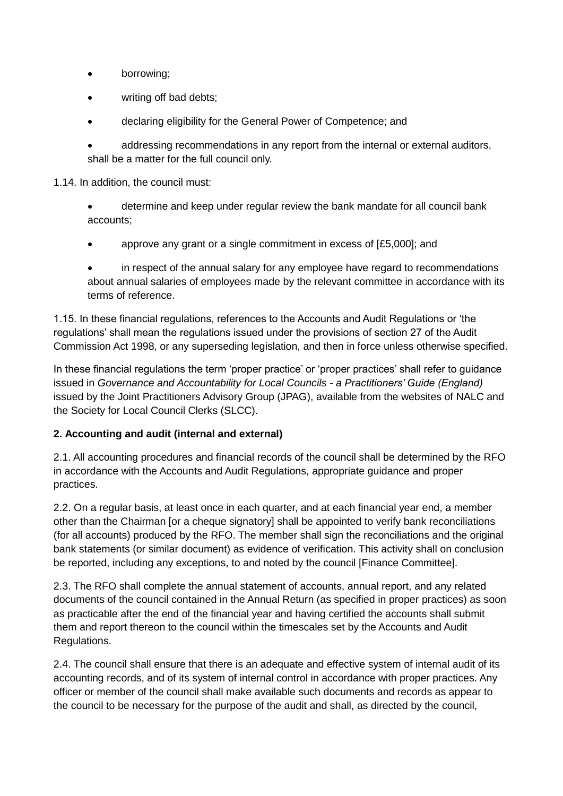- borrowing;
- writing off bad debts;
- declaring eligibility for the General Power of Competence; and
- addressing recommendations in any report from the internal or external auditors, shall be a matter for the full council only.

1.14. In addition, the council must:

- determine and keep under regular review the bank mandate for all council bank accounts;
- approve any grant or a single commitment in excess of [£5,000]; and
- in respect of the annual salary for any employee have regard to recommendations about annual salaries of employees made by the relevant committee in accordance with its terms of reference.

1.15. In these financial regulations, references to the Accounts and Audit Regulations or 'the regulations' shall mean the regulations issued under the provisions of section 27 of the Audit Commission Act 1998, or any superseding legislation, and then in force unless otherwise specified.

In these financial regulations the term 'proper practice' or 'proper practices' shall refer to guidance issued in *Governance and Accountability for Local Councils - a Practitioners' Guide (England)* issued by the Joint Practitioners Advisory Group (JPAG), available from the websites of NALC and the Society for Local Council Clerks (SLCC).

#### **2. Accounting and audit (internal and external)**

2.1. All accounting procedures and financial records of the council shall be determined by the RFO in accordance with the Accounts and Audit Regulations, appropriate guidance and proper practices.

2.2. On a regular basis, at least once in each quarter, and at each financial year end, a member other than the Chairman [or a cheque signatory] shall be appointed to verify bank reconciliations (for all accounts) produced by the RFO. The member shall sign the reconciliations and the original bank statements (or similar document) as evidence of verification. This activity shall on conclusion be reported, including any exceptions, to and noted by the council [Finance Committee].

2.3. The RFO shall complete the annual statement of accounts, annual report, and any related documents of the council contained in the Annual Return (as specified in proper practices) as soon as practicable after the end of the financial year and having certified the accounts shall submit them and report thereon to the council within the timescales set by the Accounts and Audit Regulations.

2.4. The council shall ensure that there is an adequate and effective system of internal audit of its accounting records, and of its system of internal control in accordance with proper practices. Any officer or member of the council shall make available such documents and records as appear to the council to be necessary for the purpose of the audit and shall, as directed by the council,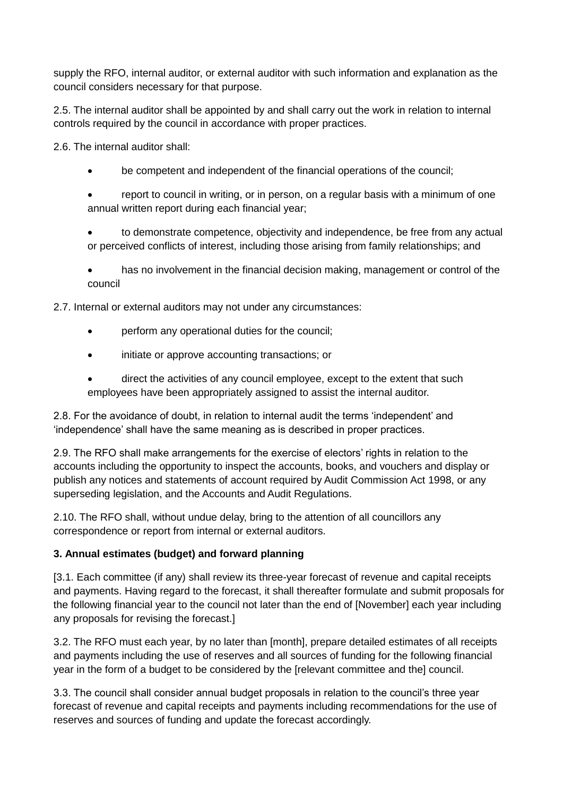supply the RFO, internal auditor, or external auditor with such information and explanation as the council considers necessary for that purpose.

2.5. The internal auditor shall be appointed by and shall carry out the work in relation to internal controls required by the council in accordance with proper practices.

2.6. The internal auditor shall:

- be competent and independent of the financial operations of the council;
- report to council in writing, or in person, on a regular basis with a minimum of one annual written report during each financial year;
- to demonstrate competence, objectivity and independence, be free from any actual or perceived conflicts of interest, including those arising from family relationships; and
- has no involvement in the financial decision making, management or control of the council

2.7. Internal or external auditors may not under any circumstances:

- perform any operational duties for the council;
- initiate or approve accounting transactions; or
- direct the activities of any council employee, except to the extent that such employees have been appropriately assigned to assist the internal auditor.

2.8. For the avoidance of doubt, in relation to internal audit the terms 'independent' and 'independence' shall have the same meaning as is described in proper practices.

2.9. The RFO shall make arrangements for the exercise of electors' rights in relation to the accounts including the opportunity to inspect the accounts, books, and vouchers and display or publish any notices and statements of account required by Audit Commission Act 1998, or any superseding legislation, and the Accounts and Audit Regulations.

2.10. The RFO shall, without undue delay, bring to the attention of all councillors any correspondence or report from internal or external auditors.

#### **3. Annual estimates (budget) and forward planning**

[3.1. Each committee (if any) shall review its three-year forecast of revenue and capital receipts and payments. Having regard to the forecast, it shall thereafter formulate and submit proposals for the following financial year to the council not later than the end of [November] each year including any proposals for revising the forecast.]

3.2. The RFO must each year, by no later than [month], prepare detailed estimates of all receipts and payments including the use of reserves and all sources of funding for the following financial year in the form of a budget to be considered by the [relevant committee and the] council.

3.3. The council shall consider annual budget proposals in relation to the council's three year forecast of revenue and capital receipts and payments including recommendations for the use of reserves and sources of funding and update the forecast accordingly.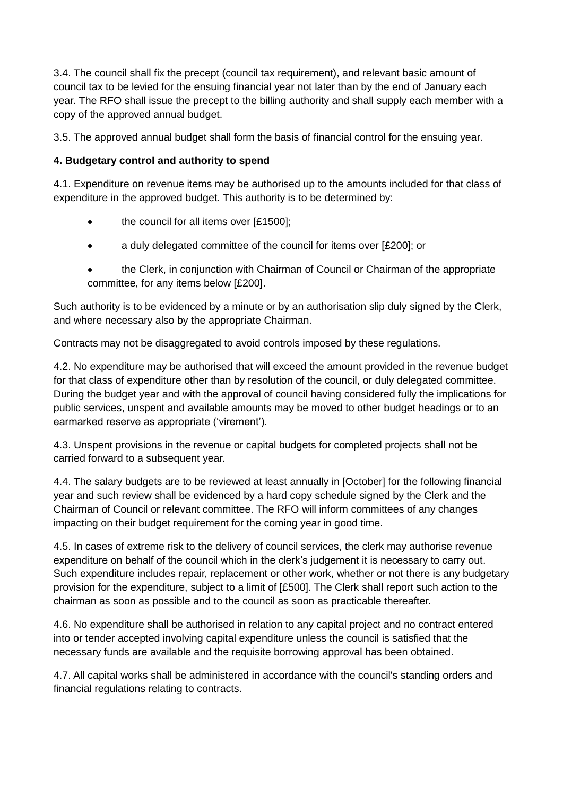3.4. The council shall fix the precept (council tax requirement), and relevant basic amount of council tax to be levied for the ensuing financial year not later than by the end of January each year. The RFO shall issue the precept to the billing authority and shall supply each member with a copy of the approved annual budget.

3.5. The approved annual budget shall form the basis of financial control for the ensuing year.

# **4. Budgetary control and authority to spend**

4.1. Expenditure on revenue items may be authorised up to the amounts included for that class of expenditure in the approved budget. This authority is to be determined by:

- the council for all items over [£1500];
- a duly delegated committee of the council for items over [£200]; or
- the Clerk, in conjunction with Chairman of Council or Chairman of the appropriate committee, for any items below [£200].

Such authority is to be evidenced by a minute or by an authorisation slip duly signed by the Clerk, and where necessary also by the appropriate Chairman.

Contracts may not be disaggregated to avoid controls imposed by these regulations.

4.2. No expenditure may be authorised that will exceed the amount provided in the revenue budget for that class of expenditure other than by resolution of the council, or duly delegated committee. During the budget year and with the approval of council having considered fully the implications for public services, unspent and available amounts may be moved to other budget headings or to an earmarked reserve as appropriate ('virement').

4.3. Unspent provisions in the revenue or capital budgets for completed projects shall not be carried forward to a subsequent year.

4.4. The salary budgets are to be reviewed at least annually in [October] for the following financial year and such review shall be evidenced by a hard copy schedule signed by the Clerk and the Chairman of Council or relevant committee. The RFO will inform committees of any changes impacting on their budget requirement for the coming year in good time.

4.5. In cases of extreme risk to the delivery of council services, the clerk may authorise revenue expenditure on behalf of the council which in the clerk's judgement it is necessary to carry out. Such expenditure includes repair, replacement or other work, whether or not there is any budgetary provision for the expenditure, subject to a limit of [£500]. The Clerk shall report such action to the chairman as soon as possible and to the council as soon as practicable thereafter.

4.6. No expenditure shall be authorised in relation to any capital project and no contract entered into or tender accepted involving capital expenditure unless the council is satisfied that the necessary funds are available and the requisite borrowing approval has been obtained.

4.7. All capital works shall be administered in accordance with the council's standing orders and financial regulations relating to contracts.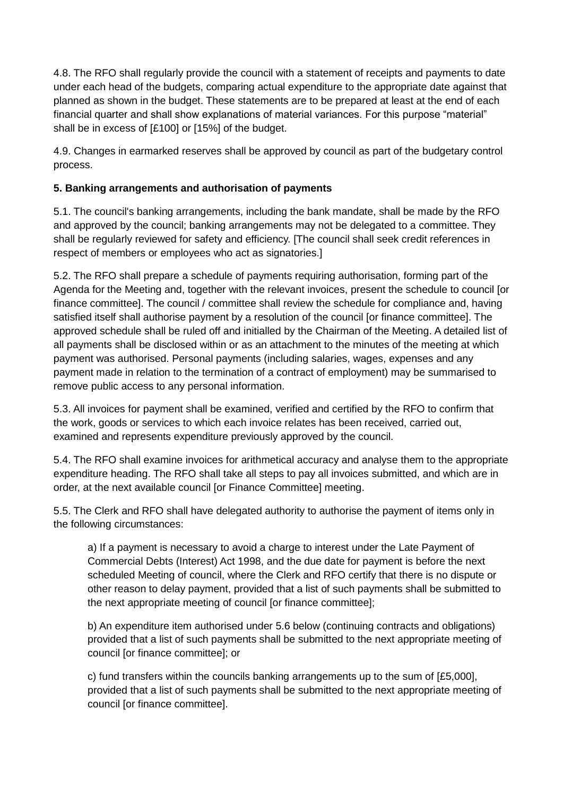4.8. The RFO shall regularly provide the council with a statement of receipts and payments to date under each head of the budgets, comparing actual expenditure to the appropriate date against that planned as shown in the budget. These statements are to be prepared at least at the end of each financial quarter and shall show explanations of material variances. For this purpose "material" shall be in excess of [£100] or [15%] of the budget.

4.9. Changes in earmarked reserves shall be approved by council as part of the budgetary control process.

# **5. Banking arrangements and authorisation of payments**

5.1. The council's banking arrangements, including the bank mandate, shall be made by the RFO and approved by the council; banking arrangements may not be delegated to a committee. They shall be regularly reviewed for safety and efficiency. [The council shall seek credit references in respect of members or employees who act as signatories.]

5.2. The RFO shall prepare a schedule of payments requiring authorisation, forming part of the Agenda for the Meeting and, together with the relevant invoices, present the schedule to council [or finance committee]. The council / committee shall review the schedule for compliance and, having satisfied itself shall authorise payment by a resolution of the council [or finance committee]. The approved schedule shall be ruled off and initialled by the Chairman of the Meeting. A detailed list of all payments shall be disclosed within or as an attachment to the minutes of the meeting at which payment was authorised. Personal payments (including salaries, wages, expenses and any payment made in relation to the termination of a contract of employment) may be summarised to remove public access to any personal information.

5.3. All invoices for payment shall be examined, verified and certified by the RFO to confirm that the work, goods or services to which each invoice relates has been received, carried out, examined and represents expenditure previously approved by the council.

5.4. The RFO shall examine invoices for arithmetical accuracy and analyse them to the appropriate expenditure heading. The RFO shall take all steps to pay all invoices submitted, and which are in order, at the next available council [or Finance Committee] meeting.

5.5. The Clerk and RFO shall have delegated authority to authorise the payment of items only in the following circumstances:

a) If a payment is necessary to avoid a charge to interest under the Late Payment of Commercial Debts (Interest) Act 1998, and the due date for payment is before the next scheduled Meeting of council, where the Clerk and RFO certify that there is no dispute or other reason to delay payment, provided that a list of such payments shall be submitted to the next appropriate meeting of council [or finance committee];

b) An expenditure item authorised under 5.6 below (continuing contracts and obligations) provided that a list of such payments shall be submitted to the next appropriate meeting of council [or finance committee]; or

c) fund transfers within the councils banking arrangements up to the sum of [£5,000], provided that a list of such payments shall be submitted to the next appropriate meeting of council [or finance committee].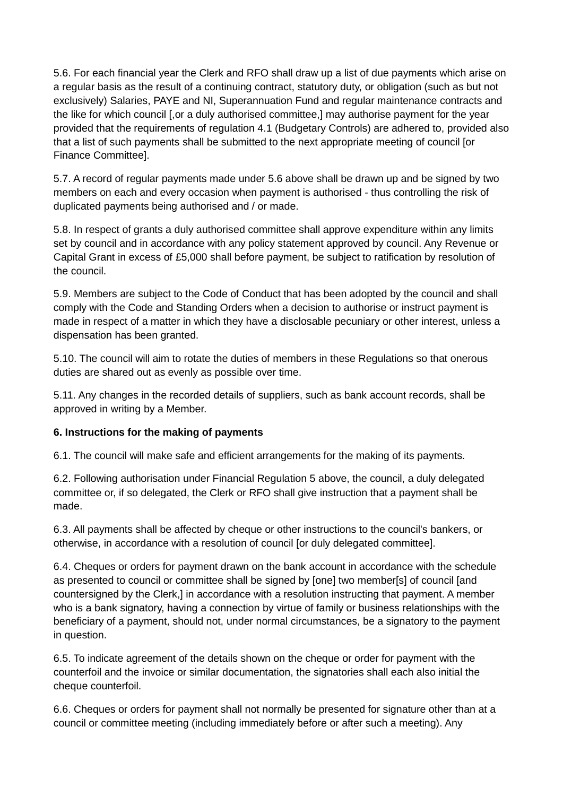5.6. For each financial year the Clerk and RFO shall draw up a list of due payments which arise on a regular basis as the result of a continuing contract, statutory duty, or obligation (such as but not exclusively) Salaries, PAYE and NI, Superannuation Fund and regular maintenance contracts and the like for which council [,or a duly authorised committee,] may authorise payment for the year provided that the requirements of regulation 4.1 (Budgetary Controls) are adhered to, provided also that a list of such payments shall be submitted to the next appropriate meeting of council [or Finance Committee].

5.7. A record of regular payments made under 5.6 above shall be drawn up and be signed by two members on each and every occasion when payment is authorised - thus controlling the risk of duplicated payments being authorised and / or made.

5.8. In respect of grants a duly authorised committee shall approve expenditure within any limits set by council and in accordance with any policy statement approved by council. Any Revenue or Capital Grant in excess of £5,000 shall before payment, be subject to ratification by resolution of the council.

5.9. Members are subject to the Code of Conduct that has been adopted by the council and shall comply with the Code and Standing Orders when a decision to authorise or instruct payment is made in respect of a matter in which they have a disclosable pecuniary or other interest, unless a dispensation has been granted.

5.10. The council will aim to rotate the duties of members in these Regulations so that onerous duties are shared out as evenly as possible over time.

5.11. Any changes in the recorded details of suppliers, such as bank account records, shall be approved in writing by a Member.

#### **6. Instructions for the making of payments**

6.1. The council will make safe and efficient arrangements for the making of its payments.

6.2. Following authorisation under Financial Regulation 5 above, the council, a duly delegated committee or, if so delegated, the Clerk or RFO shall give instruction that a payment shall be made.

6.3. All payments shall be affected by cheque or other instructions to the council's bankers, or otherwise, in accordance with a resolution of council [or duly delegated committee].

6.4. Cheques or orders for payment drawn on the bank account in accordance with the schedule as presented to council or committee shall be signed by [one] two member[s] of council [and countersigned by the Clerk,] in accordance with a resolution instructing that payment. A member who is a bank signatory, having a connection by virtue of family or business relationships with the beneficiary of a payment, should not, under normal circumstances, be a signatory to the payment in question.

6.5. To indicate agreement of the details shown on the cheque or order for payment with the counterfoil and the invoice or similar documentation, the signatories shall each also initial the cheque counterfoil.

6.6. Cheques or orders for payment shall not normally be presented for signature other than at a council or committee meeting (including immediately before or after such a meeting). Any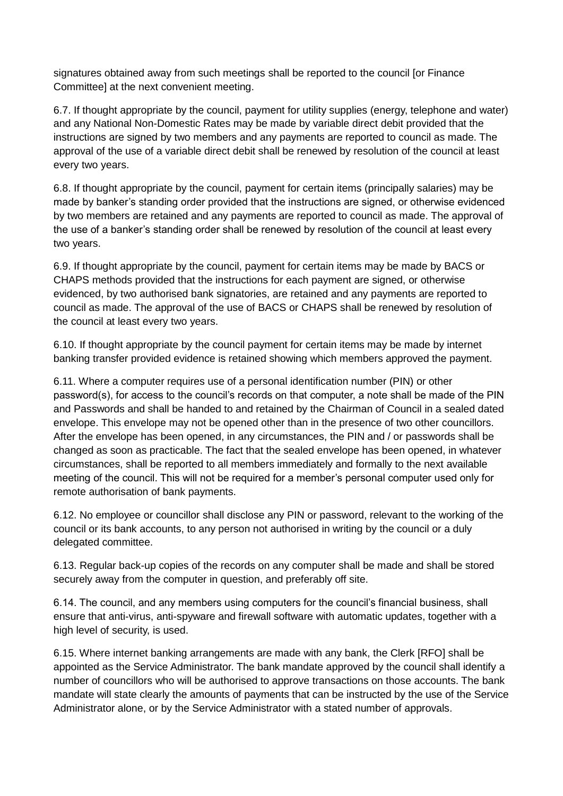signatures obtained away from such meetings shall be reported to the council [or Finance Committee] at the next convenient meeting.

6.7. If thought appropriate by the council, payment for utility supplies (energy, telephone and water) and any National Non-Domestic Rates may be made by variable direct debit provided that the instructions are signed by two members and any payments are reported to council as made. The approval of the use of a variable direct debit shall be renewed by resolution of the council at least every two years.

6.8. If thought appropriate by the council, payment for certain items (principally salaries) may be made by banker's standing order provided that the instructions are signed, or otherwise evidenced by two members are retained and any payments are reported to council as made. The approval of the use of a banker's standing order shall be renewed by resolution of the council at least every two years.

6.9. If thought appropriate by the council, payment for certain items may be made by BACS or CHAPS methods provided that the instructions for each payment are signed, or otherwise evidenced, by two authorised bank signatories, are retained and any payments are reported to council as made. The approval of the use of BACS or CHAPS shall be renewed by resolution of the council at least every two years.

6.10. If thought appropriate by the council payment for certain items may be made by internet banking transfer provided evidence is retained showing which members approved the payment.

6.11. Where a computer requires use of a personal identification number (PIN) or other password(s), for access to the council's records on that computer, a note shall be made of the PIN and Passwords and shall be handed to and retained by the Chairman of Council in a sealed dated envelope. This envelope may not be opened other than in the presence of two other councillors. After the envelope has been opened, in any circumstances, the PIN and / or passwords shall be changed as soon as practicable. The fact that the sealed envelope has been opened, in whatever circumstances, shall be reported to all members immediately and formally to the next available meeting of the council. This will not be required for a member's personal computer used only for remote authorisation of bank payments.

6.12. No employee or councillor shall disclose any PIN or password, relevant to the working of the council or its bank accounts, to any person not authorised in writing by the council or a duly delegated committee.

6.13. Regular back-up copies of the records on any computer shall be made and shall be stored securely away from the computer in question, and preferably off site.

6.14. The council, and any members using computers for the council's financial business, shall ensure that anti-virus, anti-spyware and firewall software with automatic updates, together with a high level of security, is used.

6.15. Where internet banking arrangements are made with any bank, the Clerk [RFO] shall be appointed as the Service Administrator. The bank mandate approved by the council shall identify a number of councillors who will be authorised to approve transactions on those accounts. The bank mandate will state clearly the amounts of payments that can be instructed by the use of the Service Administrator alone, or by the Service Administrator with a stated number of approvals.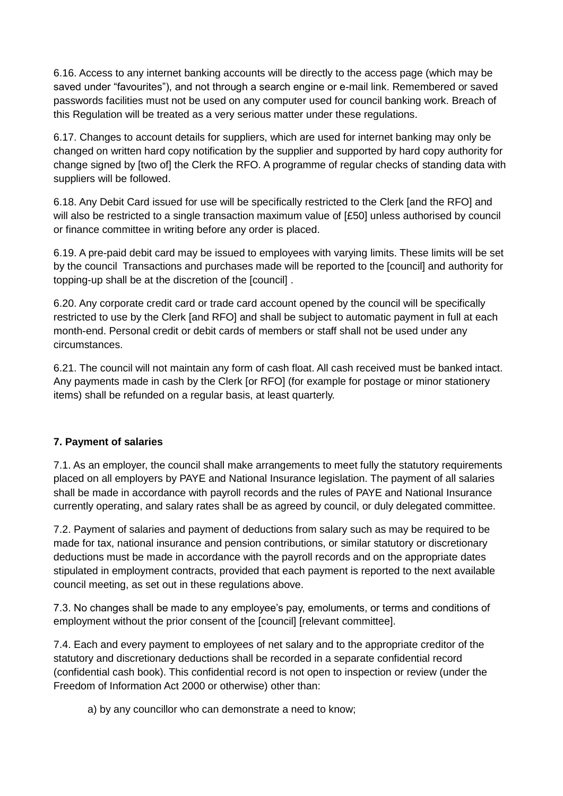6.16. Access to any internet banking accounts will be directly to the access page (which may be saved under "favourites"), and not through a search engine or e-mail link. Remembered or saved passwords facilities must not be used on any computer used for council banking work. Breach of this Regulation will be treated as a very serious matter under these regulations.

6.17. Changes to account details for suppliers, which are used for internet banking may only be changed on written hard copy notification by the supplier and supported by hard copy authority for change signed by [two of] the Clerk the RFO. A programme of regular checks of standing data with suppliers will be followed.

6.18. Any Debit Card issued for use will be specifically restricted to the Clerk [and the RFO] and will also be restricted to a single transaction maximum value of [£50] unless authorised by council or finance committee in writing before any order is placed.

6.19. A pre-paid debit card may be issued to employees with varying limits. These limits will be set by the council Transactions and purchases made will be reported to the [council] and authority for topping-up shall be at the discretion of the [council] .

6.20. Any corporate credit card or trade card account opened by the council will be specifically restricted to use by the Clerk [and RFO] and shall be subject to automatic payment in full at each month-end. Personal credit or debit cards of members or staff shall not be used under any circumstances.

6.21. The council will not maintain any form of cash float. All cash received must be banked intact. Any payments made in cash by the Clerk [or RFO] (for example for postage or minor stationery items) shall be refunded on a regular basis, at least quarterly.

#### **7. Payment of salaries**

7.1. As an employer, the council shall make arrangements to meet fully the statutory requirements placed on all employers by PAYE and National Insurance legislation. The payment of all salaries shall be made in accordance with payroll records and the rules of PAYE and National Insurance currently operating, and salary rates shall be as agreed by council, or duly delegated committee.

7.2. Payment of salaries and payment of deductions from salary such as may be required to be made for tax, national insurance and pension contributions, or similar statutory or discretionary deductions must be made in accordance with the payroll records and on the appropriate dates stipulated in employment contracts, provided that each payment is reported to the next available council meeting, as set out in these regulations above.

7.3. No changes shall be made to any employee's pay, emoluments, or terms and conditions of employment without the prior consent of the [council] [relevant committee].

7.4. Each and every payment to employees of net salary and to the appropriate creditor of the statutory and discretionary deductions shall be recorded in a separate confidential record (confidential cash book). This confidential record is not open to inspection or review (under the Freedom of Information Act 2000 or otherwise) other than:

a) by any councillor who can demonstrate a need to know;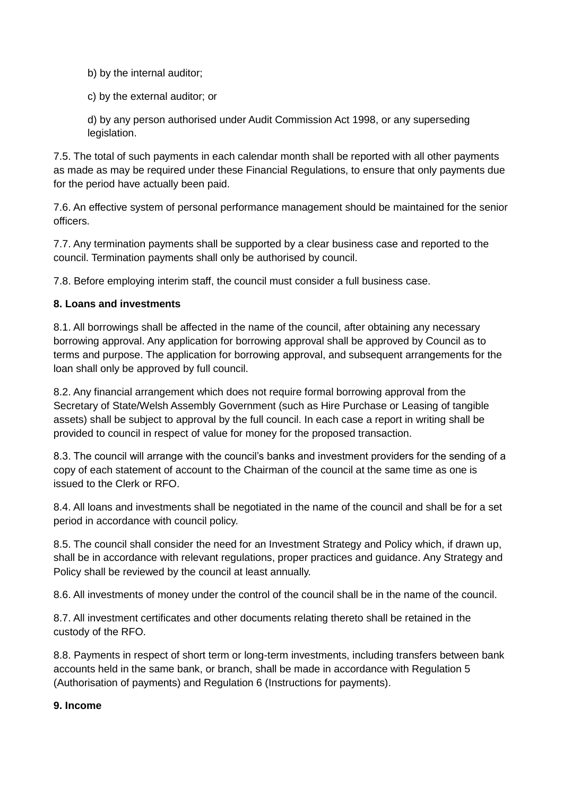b) by the internal auditor;

c) by the external auditor; or

d) by any person authorised under Audit Commission Act 1998, or any superseding legislation.

7.5. The total of such payments in each calendar month shall be reported with all other payments as made as may be required under these Financial Regulations, to ensure that only payments due for the period have actually been paid.

7.6. An effective system of personal performance management should be maintained for the senior officers.

7.7. Any termination payments shall be supported by a clear business case and reported to the council. Termination payments shall only be authorised by council.

7.8. Before employing interim staff, the council must consider a full business case.

#### **8. Loans and investments**

8.1. All borrowings shall be affected in the name of the council, after obtaining any necessary borrowing approval. Any application for borrowing approval shall be approved by Council as to terms and purpose. The application for borrowing approval, and subsequent arrangements for the loan shall only be approved by full council.

8.2. Any financial arrangement which does not require formal borrowing approval from the Secretary of State/Welsh Assembly Government (such as Hire Purchase or Leasing of tangible assets) shall be subject to approval by the full council. In each case a report in writing shall be provided to council in respect of value for money for the proposed transaction.

8.3. The council will arrange with the council's banks and investment providers for the sending of a copy of each statement of account to the Chairman of the council at the same time as one is issued to the Clerk or RFO.

8.4. All loans and investments shall be negotiated in the name of the council and shall be for a set period in accordance with council policy.

8.5. The council shall consider the need for an Investment Strategy and Policy which, if drawn up, shall be in accordance with relevant regulations, proper practices and guidance. Any Strategy and Policy shall be reviewed by the council at least annually.

8.6. All investments of money under the control of the council shall be in the name of the council.

8.7. All investment certificates and other documents relating thereto shall be retained in the custody of the RFO.

8.8. Payments in respect of short term or long-term investments, including transfers between bank accounts held in the same bank, or branch, shall be made in accordance with Regulation 5 (Authorisation of payments) and Regulation 6 (Instructions for payments).

#### **9. Income**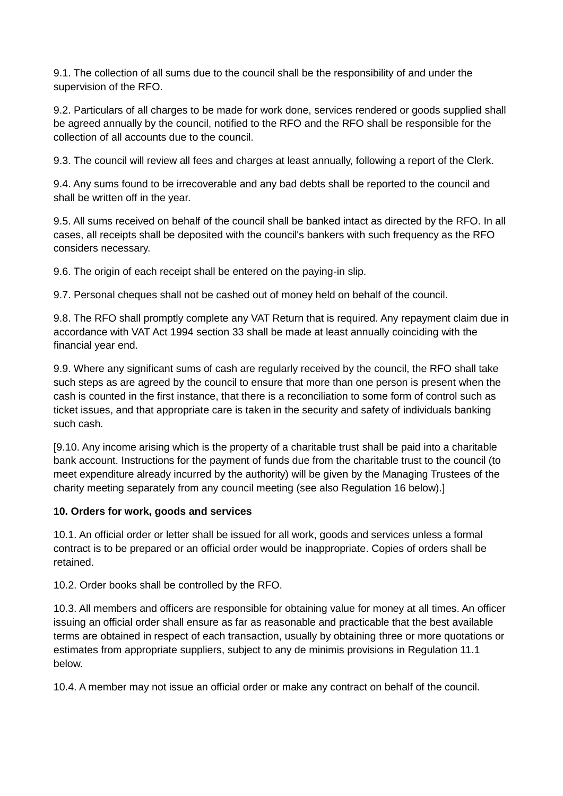9.1. The collection of all sums due to the council shall be the responsibility of and under the supervision of the RFO.

9.2. Particulars of all charges to be made for work done, services rendered or goods supplied shall be agreed annually by the council, notified to the RFO and the RFO shall be responsible for the collection of all accounts due to the council.

9.3. The council will review all fees and charges at least annually, following a report of the Clerk.

9.4. Any sums found to be irrecoverable and any bad debts shall be reported to the council and shall be written off in the year.

9.5. All sums received on behalf of the council shall be banked intact as directed by the RFO. In all cases, all receipts shall be deposited with the council's bankers with such frequency as the RFO considers necessary.

9.6. The origin of each receipt shall be entered on the paying-in slip.

9.7. Personal cheques shall not be cashed out of money held on behalf of the council.

9.8. The RFO shall promptly complete any VAT Return that is required. Any repayment claim due in accordance with VAT Act 1994 section 33 shall be made at least annually coinciding with the financial year end.

9.9. Where any significant sums of cash are regularly received by the council, the RFO shall take such steps as are agreed by the council to ensure that more than one person is present when the cash is counted in the first instance, that there is a reconciliation to some form of control such as ticket issues, and that appropriate care is taken in the security and safety of individuals banking such cash.

[9.10. Any income arising which is the property of a charitable trust shall be paid into a charitable bank account. Instructions for the payment of funds due from the charitable trust to the council (to meet expenditure already incurred by the authority) will be given by the Managing Trustees of the charity meeting separately from any council meeting (see also Regulation 16 below).]

#### **10. Orders for work, goods and services**

10.1. An official order or letter shall be issued for all work, goods and services unless a formal contract is to be prepared or an official order would be inappropriate. Copies of orders shall be retained.

10.2. Order books shall be controlled by the RFO.

10.3. All members and officers are responsible for obtaining value for money at all times. An officer issuing an official order shall ensure as far as reasonable and practicable that the best available terms are obtained in respect of each transaction, usually by obtaining three or more quotations or estimates from appropriate suppliers, subject to any de minimis provisions in Regulation 11.1 below.

10.4. A member may not issue an official order or make any contract on behalf of the council.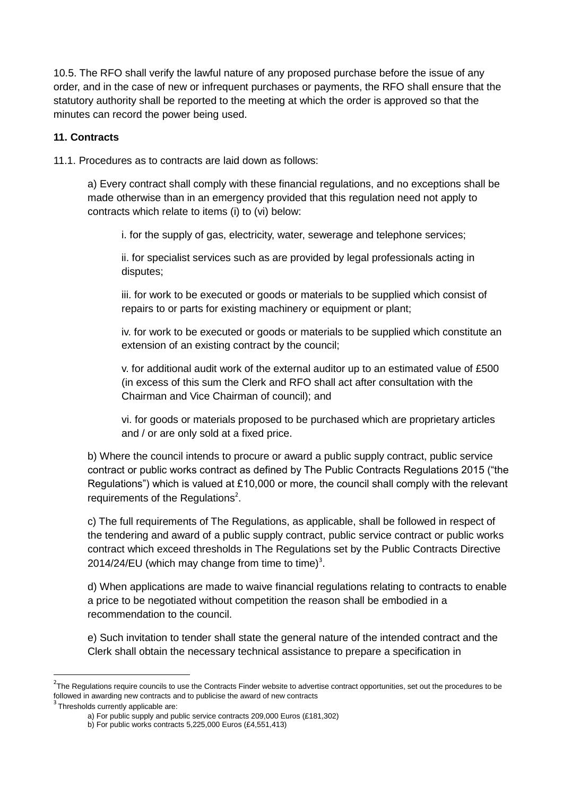10.5. The RFO shall verify the lawful nature of any proposed purchase before the issue of any order, and in the case of new or infrequent purchases or payments, the RFO shall ensure that the statutory authority shall be reported to the meeting at which the order is approved so that the minutes can record the power being used.

#### **11. Contracts**

11.1. Procedures as to contracts are laid down as follows:

a) Every contract shall comply with these financial regulations, and no exceptions shall be made otherwise than in an emergency provided that this regulation need not apply to contracts which relate to items (i) to (vi) below:

i. for the supply of gas, electricity, water, sewerage and telephone services;

ii. for specialist services such as are provided by legal professionals acting in disputes;

iii. for work to be executed or goods or materials to be supplied which consist of repairs to or parts for existing machinery or equipment or plant;

iv. for work to be executed or goods or materials to be supplied which constitute an extension of an existing contract by the council;

v. for additional audit work of the external auditor up to an estimated value of £500 (in excess of this sum the Clerk and RFO shall act after consultation with the Chairman and Vice Chairman of council); and

vi. for goods or materials proposed to be purchased which are proprietary articles and / or are only sold at a fixed price.

b) Where the council intends to procure or award a public supply contract, public service contract or public works contract as defined by The Public Contracts Regulations 2015 ("the Regulations") which is valued at £10,000 or more, the council shall comply with the relevant requirements of the Regulations<sup>2</sup>.

c) The full requirements of The Regulations, as applicable, shall be followed in respect of the tendering and award of a public supply contract, public service contract or public works contract which exceed thresholds in The Regulations set by the Public Contracts Directive 2014/24/EU (which may change from time to time)<sup>3</sup>.

d) When applications are made to waive financial regulations relating to contracts to enable a price to be negotiated without competition the reason shall be embodied in a recommendation to the council.

e) Such invitation to tender shall state the general nature of the intended contract and the Clerk shall obtain the necessary technical assistance to prepare a specification in

**.** 

<sup>&</sup>lt;sup>2</sup>The Regulations require councils to use the Contracts Finder website to advertise contract opportunities, set out the procedures to be followed in awarding new contracts and to publicise the award of new contracts

<sup>&</sup>lt;sup>3</sup> Thresholds currently applicable are:

a) For public supply and public service contracts 209,000 Euros (£181,302)

b) For public works contracts 5,225,000 Euros (£4,551,413)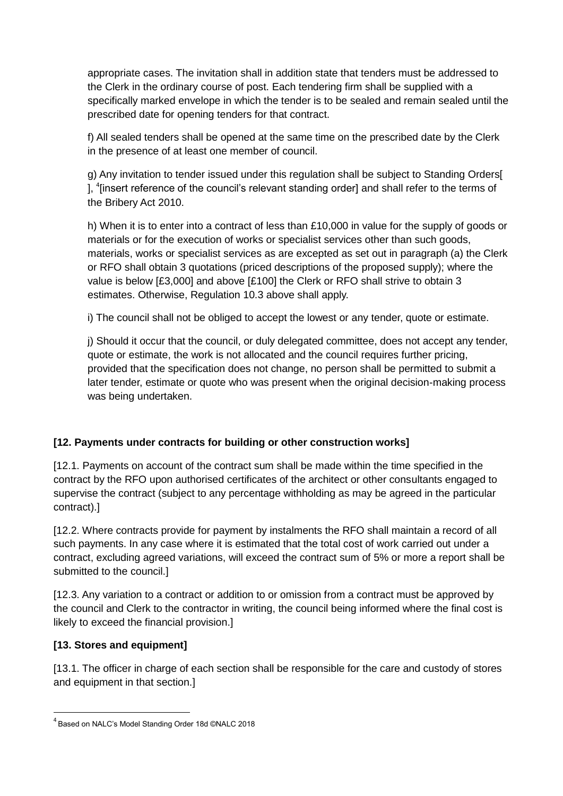appropriate cases. The invitation shall in addition state that tenders must be addressed to the Clerk in the ordinary course of post. Each tendering firm shall be supplied with a specifically marked envelope in which the tender is to be sealed and remain sealed until the prescribed date for opening tenders for that contract.

f) All sealed tenders shall be opened at the same time on the prescribed date by the Clerk in the presence of at least one member of council.

g) Any invitation to tender issued under this regulation shall be subject to Standing Orders[ ], <sup>4</sup>[insert reference of the council's relevant standing order] and shall refer to the terms of the Bribery Act 2010.

h) When it is to enter into a contract of less than £10,000 in value for the supply of goods or materials or for the execution of works or specialist services other than such goods, materials, works or specialist services as are excepted as set out in paragraph (a) the Clerk or RFO shall obtain 3 quotations (priced descriptions of the proposed supply); where the value is below [£3,000] and above [£100] the Clerk or RFO shall strive to obtain 3 estimates. Otherwise, Regulation 10.3 above shall apply.

i) The council shall not be obliged to accept the lowest or any tender, quote or estimate.

j) Should it occur that the council, or duly delegated committee, does not accept any tender, quote or estimate, the work is not allocated and the council requires further pricing, provided that the specification does not change, no person shall be permitted to submit a later tender, estimate or quote who was present when the original decision-making process was being undertaken.

# **[12. Payments under contracts for building or other construction works]**

[12.1. Payments on account of the contract sum shall be made within the time specified in the contract by the RFO upon authorised certificates of the architect or other consultants engaged to supervise the contract (subject to any percentage withholding as may be agreed in the particular contract).]

[12.2. Where contracts provide for payment by instalments the RFO shall maintain a record of all such payments. In any case where it is estimated that the total cost of work carried out under a contract, excluding agreed variations, will exceed the contract sum of 5% or more a report shall be submitted to the council.]

[12.3. Any variation to a contract or addition to or omission from a contract must be approved by the council and Clerk to the contractor in writing, the council being informed where the final cost is likely to exceed the financial provision.]

# **[13. Stores and equipment]**

**.** 

[13.1. The officer in charge of each section shall be responsible for the care and custody of stores and equipment in that section.]

<sup>4</sup> Based on NALC's Model Standing Order 18d ©NALC 2018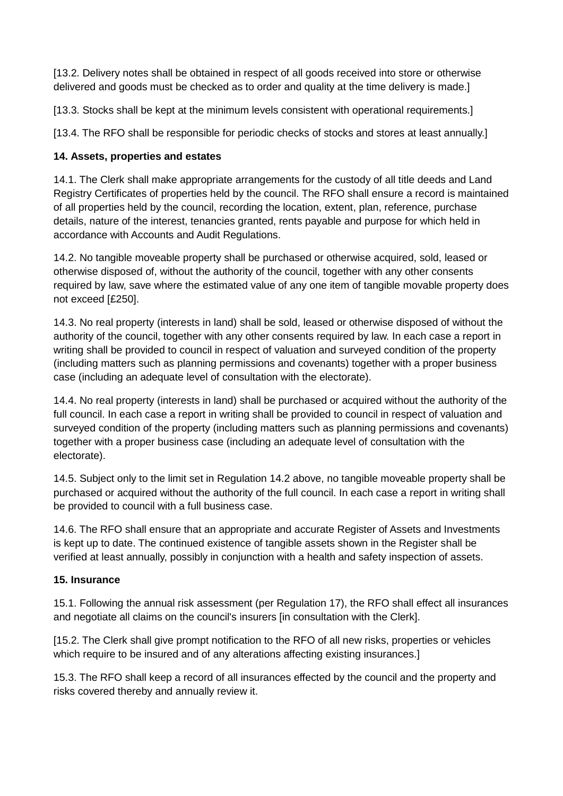[13.2. Delivery notes shall be obtained in respect of all goods received into store or otherwise delivered and goods must be checked as to order and quality at the time delivery is made.]

[13.3. Stocks shall be kept at the minimum levels consistent with operational requirements.]

[13.4. The RFO shall be responsible for periodic checks of stocks and stores at least annually.]

### **14. Assets, properties and estates**

14.1. The Clerk shall make appropriate arrangements for the custody of all title deeds and Land Registry Certificates of properties held by the council. The RFO shall ensure a record is maintained of all properties held by the council, recording the location, extent, plan, reference, purchase details, nature of the interest, tenancies granted, rents payable and purpose for which held in accordance with Accounts and Audit Regulations.

14.2. No tangible moveable property shall be purchased or otherwise acquired, sold, leased or otherwise disposed of, without the authority of the council, together with any other consents required by law, save where the estimated value of any one item of tangible movable property does not exceed [£250].

14.3. No real property (interests in land) shall be sold, leased or otherwise disposed of without the authority of the council, together with any other consents required by law. In each case a report in writing shall be provided to council in respect of valuation and surveyed condition of the property (including matters such as planning permissions and covenants) together with a proper business case (including an adequate level of consultation with the electorate).

14.4. No real property (interests in land) shall be purchased or acquired without the authority of the full council. In each case a report in writing shall be provided to council in respect of valuation and surveyed condition of the property (including matters such as planning permissions and covenants) together with a proper business case (including an adequate level of consultation with the electorate).

14.5. Subject only to the limit set in Regulation 14.2 above, no tangible moveable property shall be purchased or acquired without the authority of the full council. In each case a report in writing shall be provided to council with a full business case.

14.6. The RFO shall ensure that an appropriate and accurate Register of Assets and Investments is kept up to date. The continued existence of tangible assets shown in the Register shall be verified at least annually, possibly in conjunction with a health and safety inspection of assets.

#### **15. Insurance**

15.1. Following the annual risk assessment (per Regulation 17), the RFO shall effect all insurances and negotiate all claims on the council's insurers [in consultation with the Clerk].

[15.2. The Clerk shall give prompt notification to the RFO of all new risks, properties or vehicles which require to be insured and of any alterations affecting existing insurances.]

15.3. The RFO shall keep a record of all insurances effected by the council and the property and risks covered thereby and annually review it.